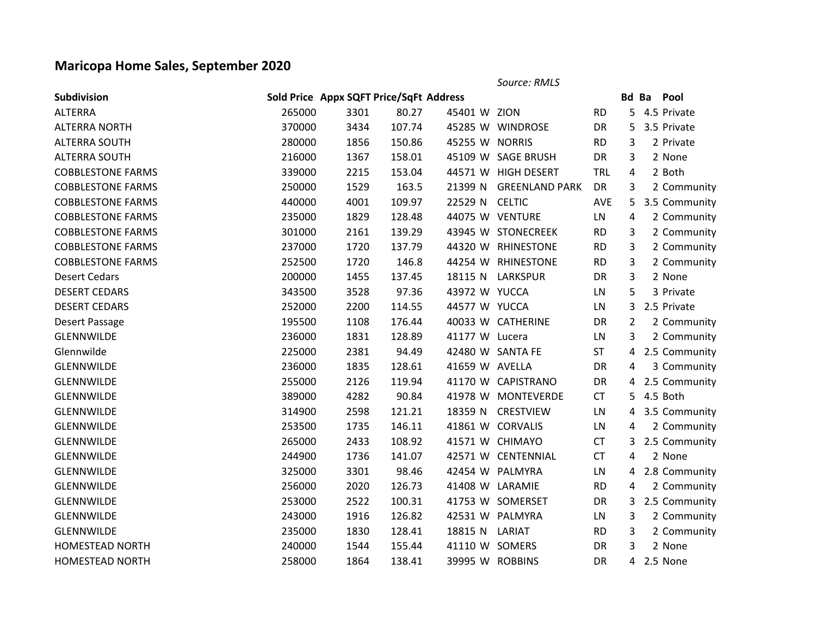## **Maricopa Home Sales, September 2020**

*Source: RMLS* **Subdivision Sold Price Appx SQFT Price/SqFt Address Bd Ba Pool** ALTERRA 265000 3301 80.27 45401 W ZION RD 5 4.5 Private

| <b>ALTERRA NORTH</b>     | 370000 | 3434 | 107.74 |                | 45285 W WINDROSE       | DR         |                | 5 3.5 Private   |
|--------------------------|--------|------|--------|----------------|------------------------|------------|----------------|-----------------|
| <b>ALTERRA SOUTH</b>     | 280000 | 1856 | 150.86 | 45255 W NORRIS |                        | <b>RD</b>  | 3              | 2 Private       |
| ALTERRA SOUTH            | 216000 | 1367 | 158.01 |                | 45109 W SAGE BRUSH     | <b>DR</b>  | 3              | 2 None          |
| <b>COBBLESTONE FARMS</b> | 339000 | 2215 | 153.04 |                | 44571 W HIGH DESERT    | <b>TRL</b> | 4              | 2 Both          |
| <b>COBBLESTONE FARMS</b> | 250000 | 1529 | 163.5  |                | 21399 N GREENLAND PARK | <b>DR</b>  | 3              | 2 Community     |
| <b>COBBLESTONE FARMS</b> | 440000 | 4001 | 109.97 | 22529 N CELTIC |                        | <b>AVE</b> |                | 5 3.5 Community |
| <b>COBBLESTONE FARMS</b> | 235000 | 1829 | 128.48 |                | 44075 W VENTURE        | LN         | $\overline{4}$ | 2 Community     |
| <b>COBBLESTONE FARMS</b> | 301000 | 2161 | 139.29 |                | 43945 W STONECREEK     | <b>RD</b>  | 3              | 2 Community     |
| <b>COBBLESTONE FARMS</b> | 237000 | 1720 | 137.79 |                | 44320 W RHINESTONE     | <b>RD</b>  | 3              | 2 Community     |
| <b>COBBLESTONE FARMS</b> | 252500 | 1720 | 146.8  |                | 44254 W RHINESTONE     | <b>RD</b>  | 3              | 2 Community     |
| <b>Desert Cedars</b>     | 200000 | 1455 | 137.45 |                | 18115 N LARKSPUR       | <b>DR</b>  | 3              | 2 None          |
| <b>DESERT CEDARS</b>     | 343500 | 3528 | 97.36  | 43972 W YUCCA  |                        | LN         | 5              | 3 Private       |
| <b>DESERT CEDARS</b>     | 252000 | 2200 | 114.55 | 44577 W YUCCA  |                        | LN         |                | 3 2.5 Private   |
| Desert Passage           | 195500 | 1108 | 176.44 |                | 40033 W CATHERINE      | <b>DR</b>  | $\overline{2}$ | 2 Community     |
| GLENNWILDE               | 236000 | 1831 | 128.89 | 41177 W Lucera |                        | LN         | 3              | 2 Community     |
| Glennwilde               | 225000 | 2381 | 94.49  |                | 42480 W SANTA FE       | <b>ST</b>  |                | 4 2.5 Community |
| GLENNWILDE               | 236000 | 1835 | 128.61 | 41659 W AVELLA |                        | <b>DR</b>  | $\overline{4}$ | 3 Community     |
| <b>GLENNWILDE</b>        | 255000 | 2126 | 119.94 |                | 41170 W CAPISTRANO     | <b>DR</b>  |                | 4 2.5 Community |
| <b>GLENNWILDE</b>        | 389000 | 4282 | 90.84  |                | 41978 W MONTEVERDE     | <b>CT</b>  |                | 5 4.5 Both      |
| GLENNWILDE               | 314900 | 2598 | 121.21 |                | 18359 N CRESTVIEW      | LN         |                | 4 3.5 Community |
| GLENNWILDE               | 253500 | 1735 | 146.11 |                | 41861 W CORVALIS       | LN         | $\overline{4}$ | 2 Community     |
| GLENNWILDE               | 265000 | 2433 | 108.92 |                | 41571 W CHIMAYO        | <b>CT</b>  |                | 3 2.5 Community |
| <b>GLENNWILDE</b>        | 244900 | 1736 | 141.07 |                | 42571 W CENTENNIAL     | <b>CT</b>  | 4              | 2 None          |
| <b>GLENNWILDE</b>        | 325000 | 3301 | 98.46  |                | 42454 W PALMYRA        | LN         |                | 4 2.8 Community |
| <b>GLENNWILDE</b>        | 256000 | 2020 | 126.73 |                | 41408 W LARAMIE        | <b>RD</b>  | 4              | 2 Community     |
| GLENNWILDE               | 253000 | 2522 | 100.31 |                | 41753 W SOMERSET       | <b>DR</b>  |                | 3 2.5 Community |
| <b>GLENNWILDE</b>        | 243000 | 1916 | 126.82 |                | 42531 W PALMYRA        | LN.        | 3              | 2 Community     |
| GLENNWILDE               | 235000 | 1830 | 128.41 | 18815 N LARIAT |                        | <b>RD</b>  | 3              | 2 Community     |
| <b>HOMESTEAD NORTH</b>   | 240000 | 1544 | 155.44 | 41110 W SOMERS |                        | <b>DR</b>  | 3              | 2 None          |
| <b>HOMESTEAD NORTH</b>   | 258000 | 1864 | 138.41 |                | 39995 W ROBBINS        | <b>DR</b>  |                | 4 2.5 None      |
|                          |        |      |        |                |                        |            |                |                 |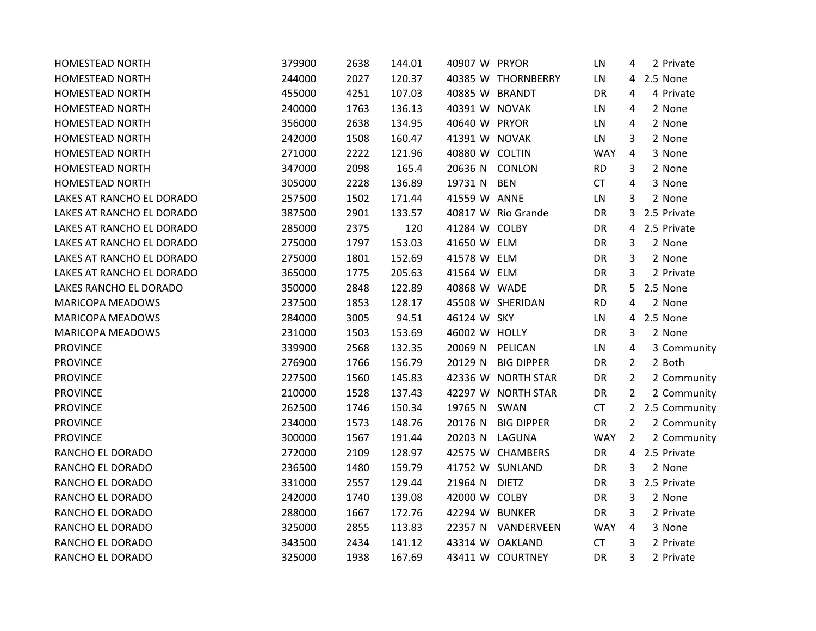| <b>HOMESTEAD NORTH</b>    | 379900 | 2638 | 144.01 | 40907 W PRYOR   |                    | LN         | 4              | 2 Private     |
|---------------------------|--------|------|--------|-----------------|--------------------|------------|----------------|---------------|
| <b>HOMESTEAD NORTH</b>    | 244000 | 2027 | 120.37 |                 | 40385 W THORNBERRY | LN         |                | 4 2.5 None    |
| <b>HOMESTEAD NORTH</b>    | 455000 | 4251 | 107.03 | 40885 W BRANDT  |                    | <b>DR</b>  | 4              | 4 Private     |
| HOMESTEAD NORTH           | 240000 | 1763 | 136.13 | 40391 W NOVAK   |                    | LN         | 4              | 2 None        |
| HOMESTEAD NORTH           | 356000 | 2638 | 134.95 | 40640 W PRYOR   |                    | LN         | 4              | 2 None        |
| HOMESTEAD NORTH           | 242000 | 1508 | 160.47 | 41391 W NOVAK   |                    | LN         | 3              | 2 None        |
| HOMESTEAD NORTH           | 271000 | 2222 | 121.96 | 40880 W COLTIN  |                    | <b>WAY</b> | 4              | 3 None        |
| HOMESTEAD NORTH           | 347000 | 2098 | 165.4  | 20636 N CONLON  |                    | <b>RD</b>  | 3              | 2 None        |
| HOMESTEAD NORTH           | 305000 | 2228 | 136.89 | 19731 N         | <b>BEN</b>         | <b>CT</b>  | 4              | 3 None        |
| LAKES AT RANCHO EL DORADO | 257500 | 1502 | 171.44 | 41559 W ANNE    |                    | LN         | 3              | 2 None        |
| LAKES AT RANCHO EL DORADO | 387500 | 2901 | 133.57 |                 | 40817 W Rio Grande | DR         | 3              | 2.5 Private   |
| LAKES AT RANCHO EL DORADO | 285000 | 2375 | 120    | 41284 W COLBY   |                    | DR         |                | 4 2.5 Private |
| LAKES AT RANCHO EL DORADO | 275000 | 1797 | 153.03 | 41650 W ELM     |                    | DR         | 3              | 2 None        |
| LAKES AT RANCHO EL DORADO | 275000 | 1801 | 152.69 | 41578 W ELM     |                    | DR         | 3              | 2 None        |
| LAKES AT RANCHO EL DORADO | 365000 | 1775 | 205.63 | 41564 W ELM     |                    | DR         | 3              | 2 Private     |
| LAKES RANCHO EL DORADO    | 350000 | 2848 | 122.89 | 40868 W WADE    |                    | DR         | 5              | 2.5 None      |
| <b>MARICOPA MEADOWS</b>   | 237500 | 1853 | 128.17 |                 | 45508 W SHERIDAN   | <b>RD</b>  | 4              | 2 None        |
| <b>MARICOPA MEADOWS</b>   | 284000 | 3005 | 94.51  | 46124 W SKY     |                    | LN         |                | 4 2.5 None    |
| <b>MARICOPA MEADOWS</b>   | 231000 | 1503 | 153.69 | 46002 W HOLLY   |                    | DR         | 3              | 2 None        |
| <b>PROVINCE</b>           | 339900 | 2568 | 132.35 | 20069 N PELICAN |                    | LN         | 4              | 3 Community   |
| <b>PROVINCE</b>           | 276900 | 1766 | 156.79 | 20129 N         | <b>BIG DIPPER</b>  | DR         | $\overline{2}$ | 2 Both        |
| <b>PROVINCE</b>           | 227500 | 1560 | 145.83 |                 | 42336 W NORTH STAR | DR         | $\overline{2}$ | 2 Community   |
| <b>PROVINCE</b>           | 210000 | 1528 | 137.43 |                 | 42297 W NORTH STAR | DR         | $\overline{2}$ | 2 Community   |
| <b>PROVINCE</b>           | 262500 | 1746 | 150.34 | 19765 N SWAN    |                    | <b>CT</b>  | $2^{\circ}$    | 2.5 Community |
| <b>PROVINCE</b>           | 234000 | 1573 | 148.76 | 20176 N         | <b>BIG DIPPER</b>  | DR         | $\overline{2}$ | 2 Community   |
| <b>PROVINCE</b>           | 300000 | 1567 | 191.44 | 20203 N LAGUNA  |                    | <b>WAY</b> | 2              | 2 Community   |
| RANCHO EL DORADO          | 272000 | 2109 | 128.97 |                 | 42575 W CHAMBERS   | DR         |                | 4 2.5 Private |
| RANCHO EL DORADO          | 236500 | 1480 | 159.79 |                 | 41752 W SUNLAND    | DR         | 3              | 2 None        |
| RANCHO EL DORADO          | 331000 | 2557 | 129.44 | 21964 N DIETZ   |                    | DR         | 3              | 2.5 Private   |
| RANCHO EL DORADO          | 242000 | 1740 | 139.08 | 42000 W COLBY   |                    | DR         | 3              | 2 None        |
| RANCHO EL DORADO          | 288000 | 1667 | 172.76 | 42294 W BUNKER  |                    | DR         | 3              | 2 Private     |
| RANCHO EL DORADO          | 325000 | 2855 | 113.83 |                 | 22357 N VANDERVEEN | <b>WAY</b> | 4              | 3 None        |
| RANCHO EL DORADO          | 343500 | 2434 | 141.12 |                 | 43314 W OAKLAND    | <b>CT</b>  | 3              | 2 Private     |
| RANCHO EL DORADO          | 325000 | 1938 | 167.69 |                 | 43411 W COURTNEY   | DR         | 3              | 2 Private     |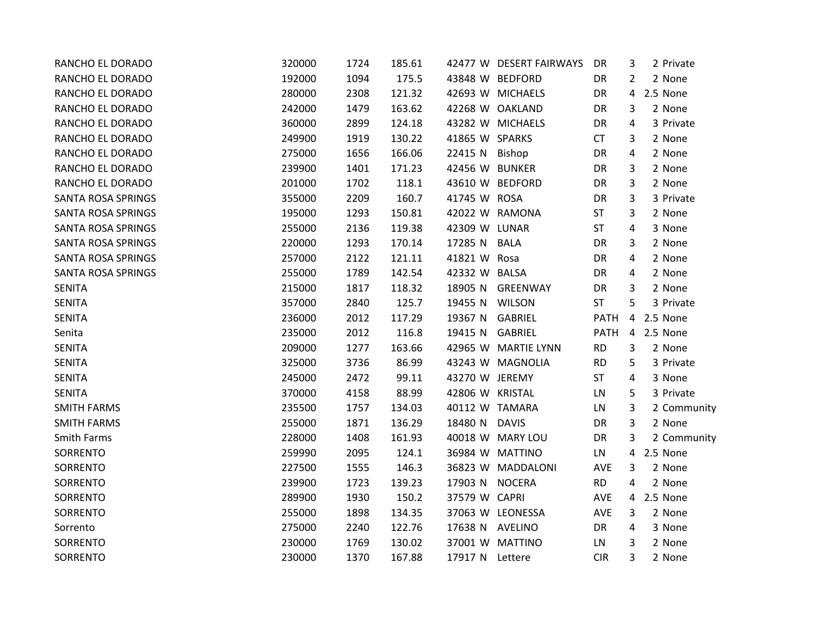| RANCHO EL DORADO          | 320000 | 1724 | 185.61 |                 | 42477 W DESERT FAIRWAYS | DR          | 3              | 2 Private   |
|---------------------------|--------|------|--------|-----------------|-------------------------|-------------|----------------|-------------|
| RANCHO EL DORADO          | 192000 | 1094 | 175.5  |                 | 43848 W BEDFORD         | DR          | 2              | 2 None      |
| RANCHO EL DORADO          | 280000 | 2308 | 121.32 |                 | 42693 W MICHAELS        | DR          | 4              | 2.5 None    |
| RANCHO EL DORADO          | 242000 | 1479 | 163.62 |                 | 42268 W OAKLAND         | DR          | 3              | 2 None      |
| RANCHO EL DORADO          | 360000 | 2899 | 124.18 |                 | 43282 W MICHAELS        | DR          | 4              | 3 Private   |
| RANCHO EL DORADO          | 249900 | 1919 | 130.22 | 41865 W SPARKS  |                         | <b>CT</b>   | 3              | 2 None      |
| RANCHO EL DORADO          | 275000 | 1656 | 166.06 | 22415 N Bishop  |                         | DR          | 4              | 2 None      |
| RANCHO EL DORADO          | 239900 | 1401 | 171.23 | 42456 W BUNKER  |                         | DR          | 3              | 2 None      |
| RANCHO EL DORADO          | 201000 | 1702 | 118.1  |                 | 43610 W BEDFORD         | DR          | 3              | 2 None      |
| <b>SANTA ROSA SPRINGS</b> | 355000 | 2209 | 160.7  | 41745 W ROSA    |                         | DR          | 3              | 3 Private   |
| <b>SANTA ROSA SPRINGS</b> | 195000 | 1293 | 150.81 |                 | 42022 W RAMONA          | <b>ST</b>   | 3              | 2 None      |
| SANTA ROSA SPRINGS        | 255000 | 2136 | 119.38 | 42309 W LUNAR   |                         | <b>ST</b>   | 4              | 3 None      |
| <b>SANTA ROSA SPRINGS</b> | 220000 | 1293 | 170.14 | 17285 N BALA    |                         | DR          | 3              | 2 None      |
| <b>SANTA ROSA SPRINGS</b> | 257000 | 2122 | 121.11 | 41821 W Rosa    |                         | DR          | 4              | 2 None      |
| SANTA ROSA SPRINGS        | 255000 | 1789 | 142.54 | 42332 W BALSA   |                         | DR          | 4              | 2 None      |
| <b>SENITA</b>             | 215000 | 1817 | 118.32 |                 | 18905 N GREENWAY        | DR          | 3              | 2 None      |
| <b>SENITA</b>             | 357000 | 2840 | 125.7  | 19455 N WILSON  |                         | <b>ST</b>   | 5              | 3 Private   |
| <b>SENITA</b>             | 236000 | 2012 | 117.29 | 19367 N GABRIEL |                         | <b>PATH</b> | $\overline{4}$ | 2.5 None    |
| Senita                    | 235000 | 2012 | 116.8  | 19415 N GABRIEL |                         | PATH        |                | 4 2.5 None  |
| <b>SENITA</b>             | 209000 | 1277 | 163.66 |                 | 42965 W MARTIE LYNN     | RD          | 3              | 2 None      |
| <b>SENITA</b>             | 325000 | 3736 | 86.99  |                 | 43243 W MAGNOLIA        | <b>RD</b>   | 5              | 3 Private   |
| <b>SENITA</b>             | 245000 | 2472 | 99.11  | 43270 W JEREMY  |                         | <b>ST</b>   | 4              | 3 None      |
| <b>SENITA</b>             | 370000 | 4158 | 88.99  | 42806 W KRISTAL |                         | LN          | 5              | 3 Private   |
| <b>SMITH FARMS</b>        | 235500 | 1757 | 134.03 | 40112 W TAMARA  |                         | LN          | 3              | 2 Community |
| <b>SMITH FARMS</b>        | 255000 | 1871 | 136.29 | 18480 N DAVIS   |                         | DR          | 3              | 2 None      |
| Smith Farms               | 228000 | 1408 | 161.93 |                 | 40018 W MARY LOU        | DR          | 3              | 2 Community |
| SORRENTO                  | 259990 | 2095 | 124.1  |                 | 36984 W MATTINO         | LN          | 4              | 2.5 None    |
| SORRENTO                  | 227500 | 1555 | 146.3  |                 | 36823 W MADDALONI       | AVE         | 3              | 2 None      |
| SORRENTO                  | 239900 | 1723 | 139.23 | 17903 N NOCERA  |                         | <b>RD</b>   | 4              | 2 None      |
| SORRENTO                  | 289900 | 1930 | 150.2  | 37579 W CAPRI   |                         | <b>AVE</b>  |                | 4 2.5 None  |
| SORRENTO                  | 255000 | 1898 | 134.35 |                 | 37063 W LEONESSA        | AVE         | 3              | 2 None      |
| Sorrento                  | 275000 | 2240 | 122.76 | 17638 N AVELINO |                         | DR          | 4              | 3 None      |
| SORRENTO                  | 230000 | 1769 | 130.02 |                 | 37001 W MATTINO         | LN          | 3              | 2 None      |
| SORRENTO                  | 230000 | 1370 | 167.88 | 17917 N Lettere |                         | <b>CIR</b>  | 3              | 2 None      |